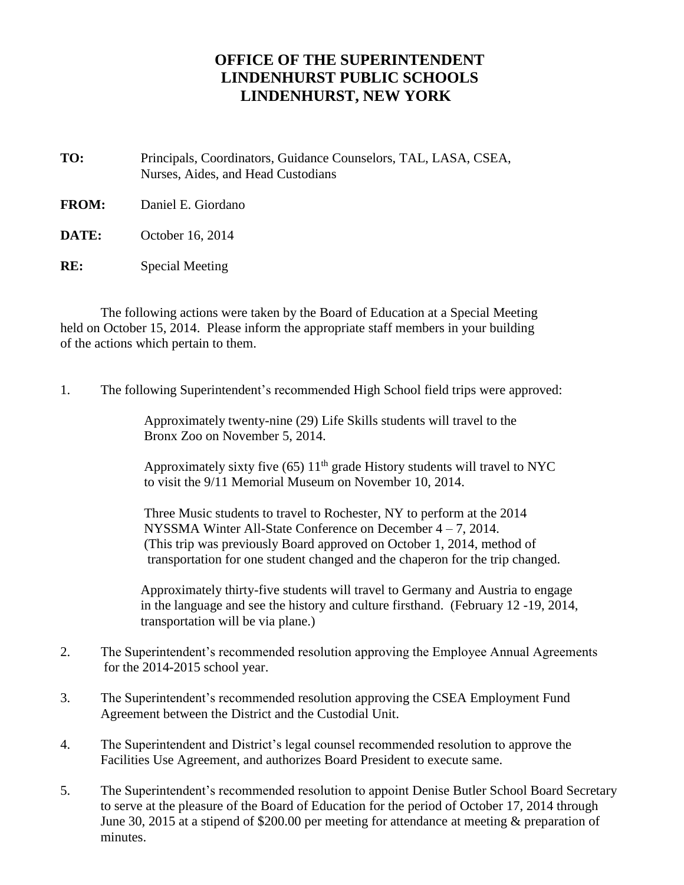## **OFFICE OF THE SUPERINTENDENT LINDENHURST PUBLIC SCHOOLS LINDENHURST, NEW YORK**

**TO:** Principals, Coordinators, Guidance Counselors, TAL, LASA, CSEA, Nurses, Aides, and Head Custodians

**FROM:** Daniel E. Giordano

**DATE:** October 16, 2014

**RE:** Special Meeting

The following actions were taken by the Board of Education at a Special Meeting held on October 15, 2014. Please inform the appropriate staff members in your building of the actions which pertain to them.

1. The following Superintendent's recommended High School field trips were approved:

Approximately twenty-nine (29) Life Skills students will travel to the Bronx Zoo on November 5, 2014.

Approximately sixty five (65)  $11<sup>th</sup>$  grade History students will travel to NYC to visit the 9/11 Memorial Museum on November 10, 2014.

Three Music students to travel to Rochester, NY to perform at the 2014 NYSSMA Winter All-State Conference on December 4 – 7, 2014. (This trip was previously Board approved on October 1, 2014, method of transportation for one student changed and the chaperon for the trip changed.

Approximately thirty-five students will travel to Germany and Austria to engage in the language and see the history and culture firsthand. (February 12 -19, 2014, transportation will be via plane.)

- 2. The Superintendent's recommended resolution approving the Employee Annual Agreements for the 2014-2015 school year.
- 3. The Superintendent's recommended resolution approving the CSEA Employment Fund Agreement between the District and the Custodial Unit.
- 4. The Superintendent and District's legal counsel recommended resolution to approve the Facilities Use Agreement, and authorizes Board President to execute same.
- 5. The Superintendent's recommended resolution to appoint Denise Butler School Board Secretary to serve at the pleasure of the Board of Education for the period of October 17, 2014 through June 30, 2015 at a stipend of \$200.00 per meeting for attendance at meeting & preparation of minutes.